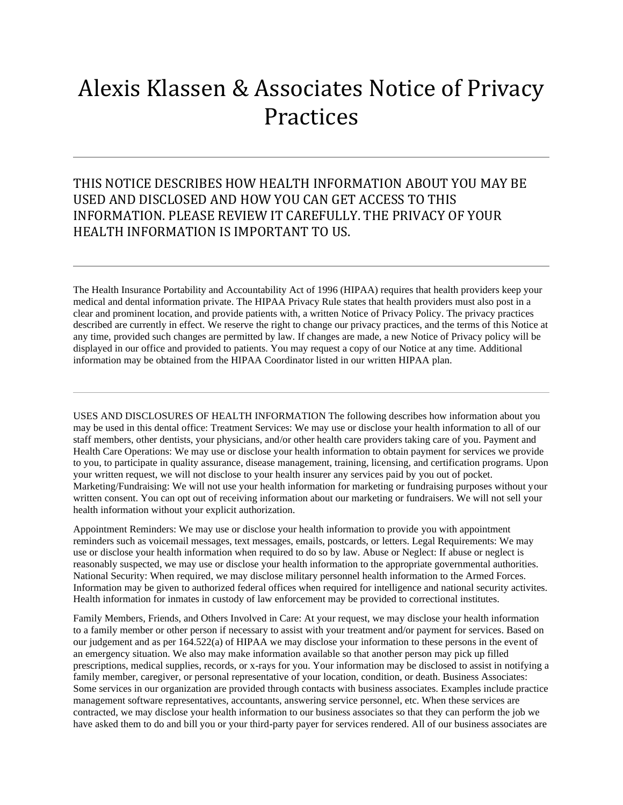## Alexis Klassen & Associates Notice of Privacy Practices

## THIS NOTICE DESCRIBES HOW HEALTH INFORMATION ABOUT YOU MAY BE USED AND DISCLOSED AND HOW YOU CAN GET ACCESS TO THIS INFORMATION. PLEASE REVIEW IT CAREFULLY. THE PRIVACY OF YOUR HEALTH INFORMATION IS IMPORTANT TO US.

The Health Insurance Portability and Accountability Act of 1996 (HIPAA) requires that health providers keep your medical and dental information private. The HIPAA Privacy Rule states that health providers must also post in a clear and prominent location, and provide patients with, a written Notice of Privacy Policy. The privacy practices described are currently in effect. We reserve the right to change our privacy practices, and the terms of this Notice at any time, provided such changes are permitted by law. If changes are made, a new Notice of Privacy policy will be displayed in our office and provided to patients. You may request a copy of our Notice at any time. Additional information may be obtained from the HIPAA Coordinator listed in our written HIPAA plan.

USES AND DISCLOSURES OF HEALTH INFORMATION The following describes how information about you may be used in this dental office: Treatment Services: We may use or disclose your health information to all of our staff members, other dentists, your physicians, and/or other health care providers taking care of you. Payment and Health Care Operations: We may use or disclose your health information to obtain payment for services we provide to you, to participate in quality assurance, disease management, training, licensing, and certification programs. Upon your written request, we will not disclose to your health insurer any services paid by you out of pocket. Marketing/Fundraising: We will not use your health information for marketing or fundraising purposes without your written consent. You can opt out of receiving information about our marketing or fundraisers. We will not sell your health information without your explicit authorization.

Appointment Reminders: We may use or disclose your health information to provide you with appointment reminders such as voicemail messages, text messages, emails, postcards, or letters. Legal Requirements: We may use or disclose your health information when required to do so by law. Abuse or Neglect: If abuse or neglect is reasonably suspected, we may use or disclose your health information to the appropriate governmental authorities. National Security: When required, we may disclose military personnel health information to the Armed Forces. Information may be given to authorized federal offices when required for intelligence and national security activites. Health information for inmates in custody of law enforcement may be provided to correctional institutes.

Family Members, Friends, and Others Involved in Care: At your request, we may disclose your health information to a family member or other person if necessary to assist with your treatment and/or payment for services. Based on our judgement and as per 164.522(a) of HIPAA we may disclose your information to these persons in the event of an emergency situation. We also may make information available so that another person may pick up filled prescriptions, medical supplies, records, or x-rays for you. Your information may be disclosed to assist in notifying a family member, caregiver, or personal representative of your location, condition, or death. Business Associates: Some services in our organization are provided through contacts with business associates. Examples include practice management software representatives, accountants, answering service personnel, etc. When these services are contracted, we may disclose your health information to our business associates so that they can perform the job we have asked them to do and bill you or your third-party payer for services rendered. All of our business associates are